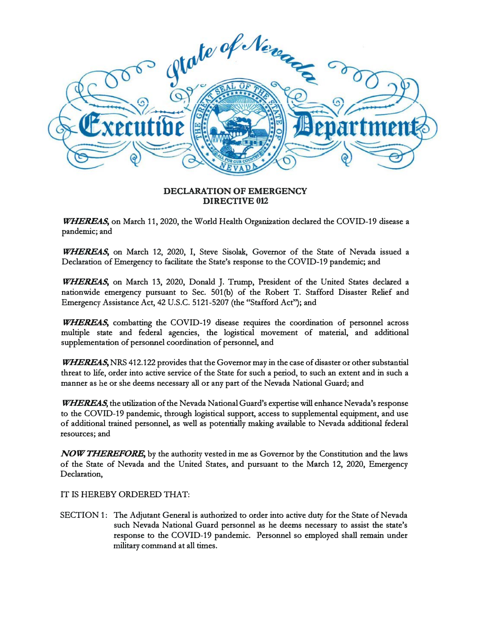

## **DECLARATION OF EMERGENCY DIRECTIVE 012**

*WHEREAS,* **on March 11, 2020, the World Health Organization declared the COVID-19 disease a pandemic; and** 

*WHEREAS,* **on March 12, 2020, I, Steve Sisolak, Governor of the State of Nevada issued a Declaration of Emergency to facilitate the State's response to the COVID-19 pandemic; and** 

*WHEREAS,* **on March 13, 2020, Donald** J. **Trump, President of the United States declared a nationwide emergency pursuant to Sec. 501(b) of the Robert T. Stafford Disaster Relief and Emergency Assistance Act, 42 U.S.C. 5121-5207 (the "Stafford Act"); and** 

*WHEREAS*, combatting the COVID-19 disease requires the coordination of personnel across **multiple state and federal agencies, the logistical movement of material, and additional supplementation of personnel coordination of personnel, and** 

*WHEREAS,* **NRS 412.122 provides that the Governor may in the case of disaster or other substantial threat to life, order into active service of the State for such a period, to such an extent and in such a manner as he or she deems necessary all or any part of the Nevada National Guard; and** 

*WHEREAS,* **the utilization of the Nevada National Guard's expertise will enhance Nevada's response to the COVID-19 pandemic, through logistical support, access to supplemental equipment, and use of additional trained personnel, as well as potentially making available to Nevada additional federal resources; and** 

*NOW THEREFORE,* **by the authority vested in me as Governor by the Constitution and the laws of the State of Nevada and the United States, and pursuant to the March 12, 2020, Emergency Declaration,** 

**IT IS HEREBY ORDERED THAT:** 

**SECTION 1:** The Adjutant General is authorized to order into active duty for the State of Nevada **such Nevada National Guard personnel as he deems necessary to assist the state's response to the COVID-19 pandemic. Personnel so employed shall remain under military comtnand at all times.**